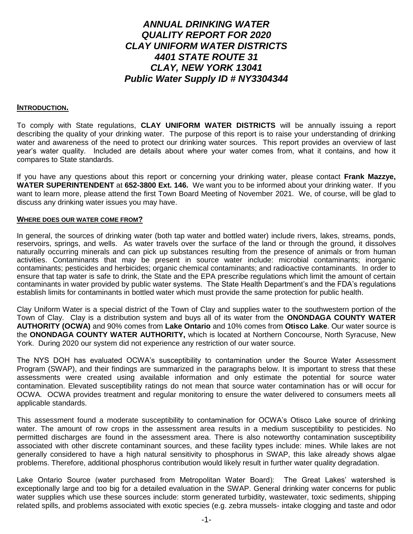### *ANNUAL DRINKING WATER QUALITY REPORT FOR 2020 CLAY UNIFORM WATER DISTRICTS 4401 STATE ROUTE 31 CLAY, NEW YORK 13041 Public Water Supply ID # NY3304344*

#### **INTRODUCTION.**

To comply with State regulations, **CLAY UNIFORM WATER DISTRICTS** will be annually issuing a report describing the quality of your drinking water. The purpose of this report is to raise your understanding of drinking water and awareness of the need to protect our drinking water sources. This report provides an overview of last year's water quality. Included are details about where your water comes from, what it contains, and how it compares to State standards.

If you have any questions about this report or concerning your drinking water, please contact **Frank Mazzye, WATER SUPERINTENDENT** at **652-3800 Ext. 146.** We want you to be informed about your drinking water. If you want to learn more, please attend the first Town Board Meeting of November 2021. We, of course, will be glad to discuss any drinking water issues you may have.

#### **WHERE DOES OUR WATER COME FROM?**

In general, the sources of drinking water (both tap water and bottled water) include rivers, lakes, streams, ponds, reservoirs, springs, and wells. As water travels over the surface of the land or through the ground, it dissolves naturally occurring minerals and can pick up substances resulting from the presence of animals or from human activities. Contaminants that may be present in source water include: microbial contaminants; inorganic contaminants; pesticides and herbicides; organic chemical contaminants; and radioactive contaminants. In order to ensure that tap water is safe to drink, the State and the EPA prescribe regulations which limit the amount of certain contaminants in water provided by public water systems. The State Health Department's and the FDA's regulations establish limits for contaminants in bottled water which must provide the same protection for public health.

Clay Uniform Water is a special district of the Town of Clay and supplies water to the southwestern portion of the Town of Clay. Clay is a distribution system and buys all of its water from the **ONONDAGA COUNTY WATER AUTHORITY (OCWA)** and 90% comes from **Lake Ontario** and 10% comes from **Otisco Lake**. Our water source is the **ONONDAGA COUNTY WATER AUTHORITY,** which is located at Northern Concourse, North Syracuse, New York. During 2020 our system did not experience any restriction of our water source.

The NYS DOH has evaluated OCWA's susceptibility to contamination under the Source Water Assessment Program (SWAP), and their findings are summarized in the paragraphs below. It is important to stress that these assessments were created using available information and only estimate the potential for source water contamination. Elevated susceptibility ratings do not mean that source water contamination has or will occur for OCWA. OCWA provides treatment and regular monitoring to ensure the water delivered to consumers meets all applicable standards.

This assessment found a moderate susceptibility to contamination for OCWA's Otisco Lake source of drinking water. The amount of row crops in the assessment area results in a medium susceptibility to pesticides. No permitted discharges are found in the assessment area. There is also noteworthy contamination susceptibility associated with other discrete contaminant sources, and these facility types include: mines. While lakes are not generally considered to have a high natural sensitivity to phosphorus in SWAP, this lake already shows algae problems. Therefore, additional phosphorus contribution would likely result in further water quality degradation.

Lake Ontario Source (water purchased from Metropolitan Water Board): The Great Lakes' watershed is exceptionally large and too big for a detailed evaluation in the SWAP. General drinking water concerns for public water supplies which use these sources include: storm generated turbidity, wastewater, toxic sediments, shipping related spills, and problems associated with exotic species (e.g. zebra mussels- intake clogging and taste and odor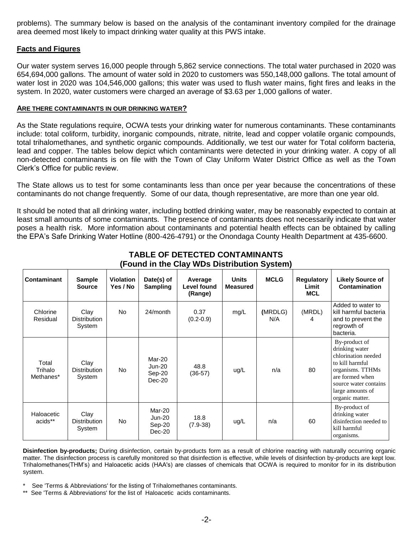problems). The summary below is based on the analysis of the contaminant inventory compiled for the drainage area deemed most likely to impact drinking water quality at this PWS intake.

#### **Facts and Figures**

Our water system serves 16,000 people through 5,862 service connections. The total water purchased in 2020 was 654,694,000 gallons. The amount of water sold in 2020 to customers was 550,148,000 gallons. The total amount of water lost in 2020 was 104,546,000 gallons; this water was used to flush water mains, fight fires and leaks in the system. In 2020, water customers were charged an average of \$3.63 per 1,000 gallons of water.

#### **ARE THERE CONTAMINANTS IN OUR DRINKING WATER?**

As the State regulations require, OCWA tests your drinking water for numerous contaminants. These contaminants include: total coliform, turbidity, inorganic compounds, nitrate, nitrite, lead and copper volatile organic compounds, total trihalomethanes, and synthetic organic compounds. Additionally, we test our water for Total coliform bacteria, lead and copper. The tables below depict which contaminants were detected in your drinking water. A copy of all non-detected contaminants is on file with the Town of Clay Uniform Water District Office as well as the Town Clerk's Office for public review.

The State allows us to test for some contaminants less than once per year because the concentrations of these contaminants do not change frequently. Some of our data, though representative, are more than one year old.

It should be noted that all drinking water, including bottled drinking water, may be reasonably expected to contain at least small amounts of some contaminants. The presence of contaminants does not necessarily indicate that water poses a health risk. More information about contaminants and potential health effects can be obtained by calling the EPA's Safe Drinking Water Hotline (800-426-4791) or the Onondaga County Health Department at 435-6600.

| Contaminant                   | <b>Sample</b><br><b>Source</b>        | <b>Violation</b><br>Yes / No | Date(s) of<br><b>Sampling</b>                 | Average<br>Level found<br>(Range) | <b>Units</b><br><b>Measured</b> | <b>MCLG</b>    | <b>Regulatory</b><br>Limit<br><b>MCL</b> | <b>Likely Source of</b><br>Contamination                                                                                                                                         |
|-------------------------------|---------------------------------------|------------------------------|-----------------------------------------------|-----------------------------------|---------------------------------|----------------|------------------------------------------|----------------------------------------------------------------------------------------------------------------------------------------------------------------------------------|
| Chlorine<br>Residual          | Clay<br><b>Distribution</b><br>System | No.                          | 24/month                                      | 0.37<br>$(0.2 - 0.9)$             | mg/L                            | (MRDLG)<br>N/A | (MRDL)<br>4                              | Added to water to<br>kill harmful bacteria<br>and to prevent the<br>regrowth of<br>bacteria.                                                                                     |
| Total<br>Trihalo<br>Methanes* | Clay<br><b>Distribution</b><br>System | No.                          | Mar-20<br><b>Jun-20</b><br>Sep-20<br>$Dec-20$ | 48.8<br>$(36-57)$                 | ug/L                            | n/a            | 80                                       | By-product of<br>drinking water<br>chlorination needed<br>to kill harmful<br>organisms. TTHMs<br>are formed when<br>source water contains<br>large amounts of<br>organic matter. |
| Haloacetic<br>acids**         | Clay<br><b>Distribution</b><br>System | No.                          | Mar-20<br><b>Jun-20</b><br>$Sep-20$<br>Dec-20 | 18.8<br>$(7.9 - 38)$              | ug/L                            | n/a            | 60                                       | By-product of<br>drinking water<br>disinfection needed to<br>kill harmful<br>organisms.                                                                                          |

#### **TABLE OF DETECTED CONTAMINANTS (Found in the Clay WDs Distribution System)**

**Disinfection by-products;** During disinfection, certain by-products form as a result of chlorine reacting with naturally occurring organic matter. The disinfection process is carefully monitored so that disinfection is effective, while levels of disinfection by-products are kept low. Trihalomethanes(THM's) and Haloacetic acids (HAA's) are classes of chemicals that OCWA is required to monitor for in its distribution system.

See 'Terms & Abbreviations' for the listing of Trihalomethanes contaminants.

\*\* See 'Terms & Abbreviations' for the list of Haloacetic acids contaminants.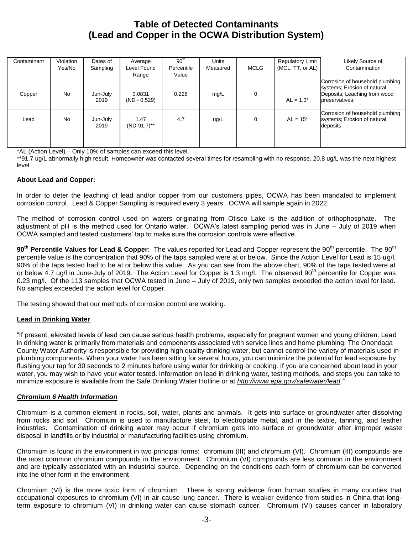### **Table of Detected Contaminants (Lead and Copper in the OCWA Distribution System)**

| Contaminant | Violation<br>Yes/No | Dates of<br>Sampling | Average<br>Level Found<br>Range | 90 <sup>th</sup><br>Percentile<br>Value | <b>Units</b><br>Measured | <b>MCLG</b> | <b>Regulatory Limit</b><br>(MCL, TT, or AL) | Likely Source of<br>Contamination                                                                                |
|-------------|---------------------|----------------------|---------------------------------|-----------------------------------------|--------------------------|-------------|---------------------------------------------|------------------------------------------------------------------------------------------------------------------|
| Copper      | <b>No</b>           | Jun-July<br>2019     | 0.0831<br>$(ND - 0.529)$        | 0.226                                   | mg/L                     | $\mathbf 0$ | $AL = 1.3^*$                                | Corrosion of household plumbing<br>systems; Erosion of natural<br>Deposits; Leaching from wood<br>preservatives. |
| Lead        | <b>No</b>           | Jun-July<br>2019     | 1.47<br>$(ND-91.7)$ **          | 4.7                                     | ug/L                     | $\mathbf 0$ | $AL = 15*$                                  | Corrosion of household plumbing<br>systems; Erosion of natural<br>deposits.                                      |

\*AL (Action Level) – Only 10% of samples can exceed this level.

\*\*91.7 ug/L abnormally high result. Homeowner was contacted several times for resampling with no response. 20.8 ug/L was the next highest level.

#### **About Lead and Copper:**

In order to deter the leaching of lead and/or copper from our customers pipes, OCWA has been mandated to implement corrosion control. Lead & Copper Sampling is required every 3 years. OCWA will sample again in 2022.

The method of corrosion control used on waters originating from Otisco Lake is the addition of orthophosphate. The adjustment of pH is the method used for Ontario water. OCWA's latest sampling period was in June – July of 2019 when OCWA sampled and tested customers' tap to make sure the corrosion controls were effective.

**90<sup>th</sup> Percentile Values for Lead & Copper**: The values reported for Lead and Copper represent the 90<sup>th</sup> percentile. The 90<sup>th</sup> percentile value is the concentration that 90% of the taps sampled were at or below. Since the Action Level for Lead is 15 ug/l, 90% of the taps tested had to be at or below this value. As you can see from the above chart, 90% of the taps tested were at or below 4.7 ug/l in June-July of 2019. The Action Level for Copper is 1.3 mg/l. The observed 90<sup>th</sup> percentile for Copper was 0.23 mg/l. Of the 113 samples that OCWA tested in June – July of 2019, only two samples exceeded the action level for lead. No samples exceeded the action level for Copper.

The testing showed that our methods of corrosion control are working.

#### **Lead in Drinking Water**

"If present, elevated levels of lead can cause serious health problems, especially for pregnant women and young children. Lead in drinking water is primarily from materials and components associated with service lines and home plumbing. The Onondaga County Water Authority is responsible for providing high quality drinking water, but cannot control the variety of materials used in plumbing components. When your water has been sitting for several hours, you can minimize the potential for lead exposure by flushing your tap for 30 seconds to 2 minutes before using water for drinking or cooking. If you are concerned about lead in your water, you may wish to have your water tested. Information on lead in drinking water, testing methods, and steps you can take to minimize exposure is available from the Safe Drinking Water Hotline or at *[http://www.epa.gov/safewater/lead.](http://www.epa.gov/safewater/lead)"*

#### *Chromium 6 Health Information*

Chromium is a common element in rocks, soil, water, plants and animals. It gets into surface or groundwater after dissolving from rocks and soil. Chromium is used to manufacture steel, to electroplate metal, and in the textile, tanning, and leather industries. Contamination of drinking water may occur if chromium gets into surface or groundwater after improper waste disposal in landfills or by industrial or manufacturing facilities using chromium.

Chromium is found in the environment in two principal forms: chromium (III) and chromium (VI). Chromium (III) compounds are the most common chromium compounds in the environment. Chromium (VI) compounds are less common in the environment and are typically associated with an industrial source. Depending on the conditions each form of chromium can be converted into the other form in the environment

Chromium (VI) is the more toxic form of chromium. There is strong evidence from human studies in many counties that occupational exposures to chromium (VI) in air cause lung cancer. There is weaker evidence from studies in China that longterm exposure to chromium (VI) in drinking water can cause stomach cancer. Chromium (VI) causes cancer in laboratory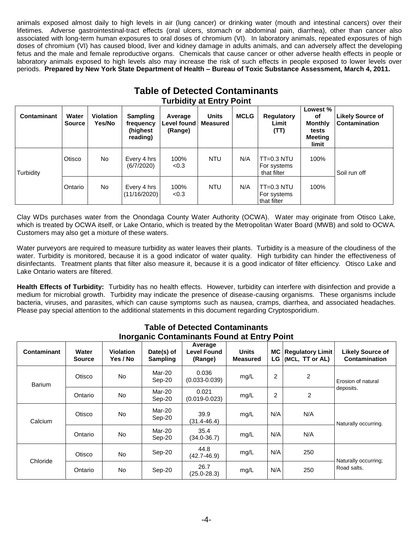animals exposed almost daily to high levels in air (lung cancer) or drinking water (mouth and intestinal cancers) over their lifetimes. Adverse gastrointestinal-tract effects (oral ulcers, stomach or abdominal pain, diarrhea), other than cancer also associated with long-term human exposures to oral doses of chromium (VI). In laboratory animals, repeated exposures of high doses of chromium (VI) has caused blood, liver and kidney damage in adults animals, and can adversely affect the developing fetus and the male and female reproductive organs. Chemicals that cause cancer or other adverse health effects in people or laboratory animals exposed to high levels also may increase the risk of such effects in people exposed to lower levels over periods. **Prepared by New York State Department of Health – Bureau of Toxic Substance Assessment, March 4, 2011.**

|                    |                        |                            |                                                       | Table of Detected Containmants<br><b>Turbidity at Entry Point</b> |                          |             |                                            |                                                                             |                                          |
|--------------------|------------------------|----------------------------|-------------------------------------------------------|-------------------------------------------------------------------|--------------------------|-------------|--------------------------------------------|-----------------------------------------------------------------------------|------------------------------------------|
| <b>Contaminant</b> | Water<br><b>Source</b> | <b>Violation</b><br>Yes/No | <b>Sampling</b><br>frequency<br>(highest)<br>reading) | Average<br>Level found<br>(Range)                                 | <b>Units</b><br>Measured | <b>MCLG</b> | Regulatory<br>Limit<br>(TT)                | Lowest %<br><b>of</b><br><b>Monthly</b><br>tests<br><b>Meeting</b><br>limit | <b>Likely Source of</b><br>Contamination |
| Turbidity          | <b>Otisco</b>          | No                         | Every 4 hrs<br>(6/7/2020)                             | 100%<br>< 0.3                                                     | <b>NTU</b>               | N/A         | $TT=0.3 NTU$<br>For systems<br>that filter | 100%                                                                        | Soil run off                             |
|                    | Ontario                | No.                        | Every 4 hrs<br>(11/16/2020)                           | 100%<br>< 0.3                                                     | <b>NTU</b>               | N/A         | $TT=0.3 NTU$<br>For systems<br>that filter | 100%                                                                        |                                          |

# **Table of Detected Contaminants**

Clay WDs purchases water from the Onondaga County Water Authority (OCWA). Water may originate from Otisco Lake, which is treated by OCWA itself, or Lake Ontario, which is treated by the Metropolitan Water Board (MWB) and sold to OCWA. Customers may also get a mixture of these waters.

Water purveyors are required to measure turbidity as water leaves their plants. Turbidity is a measure of the cloudiness of the water. Turbidity is monitored, because it is a good indicator of water quality. High turbidity can hinder the effectiveness of disinfectants. Treatment plants that filter also measure it, because it is a good indicator of filter efficiency. Otisco Lake and Lake Ontario waters are filtered.

**Health Effects of Turbidity:** Turbidity has no health effects. However, turbidity can interfere with disinfection and provide a medium for microbial growth. Turbidity may indicate the presence of disease-causing organisms. These organisms include bacteria, viruses, and parasites, which can cause symptoms such as nausea, cramps, diarrhea, and associated headaches. Please pay special attention to the additional statements in this document regarding Cryptosporidium.

| <u>morganic Contaminants Found at Liftly Fount</u> |                        |                       |                               |                                          |                                 |     |                                                 |                                          |  |  |
|----------------------------------------------------|------------------------|-----------------------|-------------------------------|------------------------------------------|---------------------------------|-----|-------------------------------------------------|------------------------------------------|--|--|
| <b>Contaminant</b>                                 | Water<br><b>Source</b> | Violation<br>Yes / No | Date(s) of<br><b>Sampling</b> | Average<br><b>Level Found</b><br>(Range) | <b>Units</b><br><b>Measured</b> | LG. | <b>MC   Regulatory Limit</b><br>(MCL, TT or AL) | <b>Likely Source of</b><br>Contamination |  |  |
| <b>Barium</b>                                      | Otisco                 | No.                   | Mar-20<br>Sep-20              | 0.036<br>$(0.033 - 0.039)$               | mg/L                            | 2   | 2                                               | Erosion of natural                       |  |  |
|                                                    | Ontario                | No.                   | Mar-20<br>Sep-20              | 0.021<br>$(0.019 - 0.023)$               | mg/L                            | 2   | 2                                               | deposits.                                |  |  |
| Calcium                                            | Otisco                 | <b>No</b>             | Mar-20<br>Sep-20              | 39.9<br>(31.4-46.4)                      | mg/L                            | N/A | N/A                                             | Naturally occurring.                     |  |  |
|                                                    | Ontario                | No                    | Mar-20<br>Sep-20              | 35.4<br>$(34.0 - 36.7)$                  | mg/L                            | N/A | N/A                                             |                                          |  |  |
| Chloride                                           | Otisco                 | No.                   | Sep-20                        | 44.8<br>$(42.7 - 46.9)$                  | mg/L                            | N/A | 250                                             | Naturally occurring;<br>Road salts.      |  |  |
|                                                    | Ontario                | No.                   | Sep-20                        | 26.7<br>$(25.0 - 28.3)$                  | mg/L                            | N/A | 250                                             |                                          |  |  |

#### **Table of Detected Contaminants Inorganic Contaminants Found at Entry Point**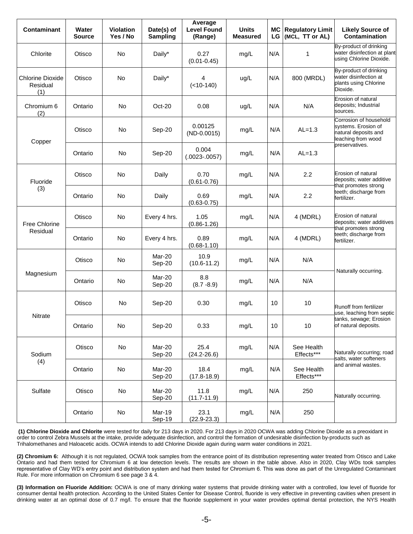| <b>Contaminant</b>                         | Water<br>Source | <b>Violation</b><br>Yes / No | Date(s) of<br><b>Sampling</b> | Average<br><b>Level Found</b><br>(Range) | <b>Units</b><br><b>Measured</b> | LG  | MC Regulatory Limit<br>(MCL, TT or AL) | <b>Likely Source of</b><br>Contamination                                                                       |  |
|--------------------------------------------|-----------------|------------------------------|-------------------------------|------------------------------------------|---------------------------------|-----|----------------------------------------|----------------------------------------------------------------------------------------------------------------|--|
| Chlorite                                   | Otisco          | <b>No</b>                    | Daily*                        | 0.27<br>$(0.01 - 0.45)$                  | mg/L                            | N/A | 1                                      | By-product of drinking<br>water disinfection at plant<br>using Chlorine Dioxide.                               |  |
| <b>Chlorine Dioxide</b><br>Residual<br>(1) | Otisco          | No                           | Daily*                        | 4<br>$(<10-140)$                         | ug/L                            | N/A | 800 (MRDL)                             | By-product of drinking<br>water disinfection at<br>plants using Chlorine<br>Dioxide.                           |  |
| Chromium 6<br>(2)                          | Ontario         | <b>No</b>                    | Oct-20                        | 0.08                                     | ug/L                            | N/A | N/A                                    | Erosion of natural<br>deposits; Industrial<br>sources.                                                         |  |
| Copper                                     | Otisco          | No                           | Sep-20                        | 0.00125<br>$(ND-0.0015)$                 | mg/L                            | N/A | $AL=1.3$                               | Corrosion of household<br>systems. Erosion of<br>natural deposits and<br>leaching from wood                    |  |
|                                            | Ontario         | No                           | Sep-20                        | 0.004<br>$(.0023-.0057)$                 | mg/L                            | N/A | $AL=1.3$                               | preservatives.                                                                                                 |  |
| Fluoride                                   | Otisco          | No                           | Daily                         | 0.70<br>$(0.61 - 0.76)$                  | mg/L                            | N/A | 2.2                                    | Erosion of natural<br>deposits; water additive<br>that promotes strong<br>teeth; discharge from<br>fertilizer. |  |
| (3)                                        | Ontario         | No                           | Daily                         | 0.69<br>$(0.63 - 0.75)$                  | mg/L                            | N/A | 2.2                                    |                                                                                                                |  |
| <b>Free Chlorine</b>                       | Otisco          | No                           | Every 4 hrs.                  | 1.05<br>$(0.86 - 1.26)$                  | mg/L                            | N/A | 4 (MDRL)                               | Erosion of natural<br>deposits; water additives<br>that promotes strong                                        |  |
| Residual                                   | Ontario         | No                           | Every 4 hrs.                  | 0.89<br>$(0.68 - 1.10)$                  | mg/L                            | N/A | 4 (MDRL)                               | teeth; discharge from<br>fertilizer.                                                                           |  |
|                                            | Otisco          | No                           | Mar-20<br>Sep-20              | 10.9<br>$(10.6 - 11.2)$                  | mg/L                            | N/A | N/A                                    |                                                                                                                |  |
| Magnesium                                  | Ontario         | No                           | Mar-20<br>Sep-20              | 8.8<br>$(8.7 - 8.9)$                     | mg/L                            | N/A | N/A                                    | Naturally occurring.                                                                                           |  |
|                                            | Otisco          | No                           | Sep-20                        | 0.30                                     | mg/L                            | 10  | 10                                     | Runoff from fertilizer<br>use, leaching from septic                                                            |  |
| Nitrate                                    | Ontario         | No                           | Sep-20                        | 0.33                                     | mg/L                            | 10  | 10                                     | tanks, sewage; Erosion<br>of natural deposits.                                                                 |  |
| Sodium                                     | Otisco          | No                           | Mar-20<br>Sep-20              | 25.4<br>$(24.2 - 26.6)$                  | mg/L                            | N/A | See Health<br>Effects***               | Naturally occurring; road                                                                                      |  |
| (4)                                        | Ontario         | No                           | Mar-20<br>Sep-20              | 18.4<br>$(17.8 - 18.9)$                  | mg/L                            | N/A | See Health<br>Effects***               | salts, water softeners<br>and animal wastes.                                                                   |  |
| Sulfate                                    | Otisco          | No                           | Mar-20<br>Sep-20              | 11.8<br>$(11.7 - 11.9)$                  | mg/L                            | N/A | 250                                    | Naturally occurring.                                                                                           |  |
|                                            | Ontario         | No                           | Mar-19<br>Sep-19              | 23.1<br>$(22.9 - 23.3)$                  | mg/L                            | N/A | 250                                    |                                                                                                                |  |

**(1) Chlorine Dioxide and Chlorite** were tested for daily for 213 days in 2020. For 213 days in 2020 OCWA was adding Chlorine Dioxide as a preoxidant in order to control Zebra Mussels at the intake, provide adequate disinfection, and control the formation of undesirable disinfection by-products such as Trihalomethanes and Haloacetic acids. OCWA intends to add Chlorine Dioxide again during warm water conditions in 2021.

**(2) Chromium 6:** Although it is not regulated, OCWA took samples from the entrance point of its distribution representing water treated from Otisco and Lake Ontario and had them tested for Chromium 6 at low detection levels. The results are shown in the table above. Also in 2020, Clay WDs took samples representative of Clay WD's entry point and distribution system and had them tested for Chromium 6. This was done as part of the Unregulated Contaminant Rule. For more information on Chromium 6 see page 3 & 4.

**(3) Information on Fluoride Addition:** OCWA is one of many drinking water systems that provide drinking water with a controlled, low level of fluoride for consumer dental health protection. According to the United States Center for Disease Control, fluoride is very effective in preventing cavities when present in drinking water at an optimal dose of 0.7 mg/l. To ensure that the fluoride supplement in your water provides optimal dental protection, the NYS Health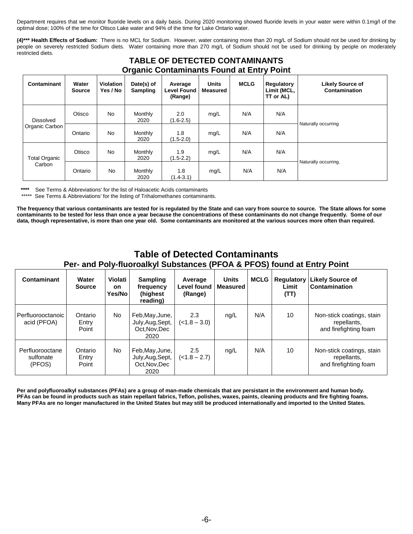Department requires that we monitor fluoride levels on a daily basis. During 2020 monitoring showed fluoride levels in your water were within 0.1mg/l of the optimal dose; 100% of the time for Otisco Lake water and 94% of the time for Lake Ontario water.

**(4)\*\*\* Health Effects of Sodium:** There is no MCL for Sodium. However, water containing more than 20 mg/L of Sodium should not be used for drinking by people on severely restricted Sodium diets. Water containing more than 270 mg/L of Sodium should not be used for drinking by people on moderately restricted diets.

| <b>TABLE OF DETECTED CONTAMINANTS</b><br><b>Organic Contaminants Found at Entry Point</b> |                        |                              |                               |                                          |                                 |             |                                        |                                          |  |  |  |
|-------------------------------------------------------------------------------------------|------------------------|------------------------------|-------------------------------|------------------------------------------|---------------------------------|-------------|----------------------------------------|------------------------------------------|--|--|--|
| Contaminant                                                                               | Water<br><b>Source</b> | <b>Violation</b><br>Yes / No | Date(s) of<br><b>Sampling</b> | Average<br><b>Level Found</b><br>(Range) | <b>Units</b><br><b>Measured</b> | <b>MCLG</b> | Regulatory<br>Limit (MCL,<br>TT or AL) | <b>Likely Source of</b><br>Contamination |  |  |  |
| <b>Dissolved</b>                                                                          | Otisco                 | No                           | Monthly<br>2020               | 2.0<br>$(1.6 - 2.5)$                     | mg/L                            | N/A         | N/A                                    |                                          |  |  |  |
| Organic Carbon                                                                            | Ontario                | <b>No</b>                    | Monthly<br>2020               | 1.8<br>$(1.5 - 2.0)$                     | mg/L                            | N/A         | N/A                                    | Naturally occurring                      |  |  |  |
| <b>Total Organic</b>                                                                      | Otisco                 | No                           | Monthly<br>2020               | 1.9<br>$(1.5 - 2.2)$                     | mg/L                            | N/A         | N/A                                    |                                          |  |  |  |
| Carbon                                                                                    | Ontario                | <b>No</b>                    | Monthly<br>2020               | 1.8<br>(1.4-3.1)                         | mg/L                            | N/A         | N/A                                    | Naturally occurring.                     |  |  |  |

\*\*\*\* See Terms & Abbreviations' for the list of Haloacetic Acids contaminants<br>\*\*\*\*\* See Terms & Abbreviations' for the listing of Tribelemethance contaminary

See Terms & Abbreviations' for the listing of Trihalomethanes contaminants.

**The frequency that various contaminants are tested for is regulated by the State and can vary from source to source. The State allows for some contaminants to be tested for less than once a year because the concentrations of these contaminants do not change frequently. Some of our data, though representative, is more than one year old. Some contaminants are monitored at the various sources more often than required.**

#### **Table of Detected Contaminants Per- and Poly-fluoroalkyl Substances (PFOA & PFOS) found at Entry Point**

| Contaminant                            | Water<br><b>Source</b>    | Violati<br><b>on</b><br>Yes/No | <b>Sampling</b><br>frequency<br>(highest<br>reading)         | Average<br>Level found  <br>(Range) | <b>Units</b><br><b>Measured</b> | <b>MCLG</b> | Regulatory<br>Limit<br>(TT) | <b>Likely Source of</b><br>Contamination                          |
|----------------------------------------|---------------------------|--------------------------------|--------------------------------------------------------------|-------------------------------------|---------------------------------|-------------|-----------------------------|-------------------------------------------------------------------|
| Perfluorooctanoic<br>acid (PFOA)       | Ontario<br>Entry<br>Point | No.                            | Feb, May, June,<br>July, Aug, Sept,<br>Oct.Nov.Dec<br>2020   | 2.3<br>$(-1.8 - 3.0)$               | ng/L                            | N/A         | 10                          | Non-stick coatings, stain<br>repellants,<br>and firefighting foam |
| Perfluorooctane<br>sulfonate<br>(PFOS) | Ontario<br>Entry<br>Point | No.                            | Feb, May, June,<br>July, Aug, Sept,<br>Oct, Nov, Dec<br>2020 | 2.5<br>$(<1.8 - 2.7)$               | nq/L                            | N/A         | 10                          | Non-stick coatings, stain<br>repellants,<br>and firefighting foam |

**Per and polyfluoroalkyl substances (PFAs) are a group of man-made chemicals that are persistant in the environment and human body. PFAs can be found in products such as stain repellant fabrics, Teflon, polishes, waxes, paints, cleaning products and fire fighting foams. Many PFAs are no longer manufactured in the United States but may still be produced internationally and imported to the United States.**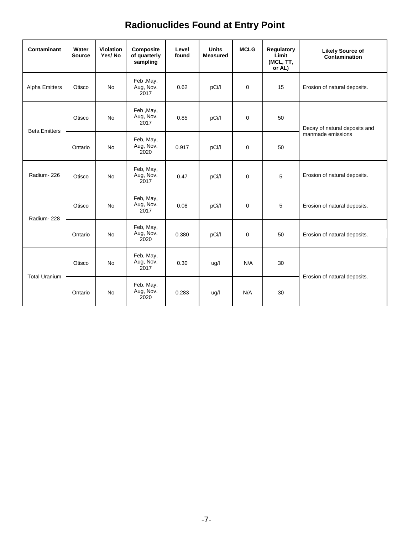# **Radionuclides Found at Entry Point**

| <b>Contaminant</b>    | Water<br><b>Source</b> | <b>Violation</b><br>Yes/No | Composite<br>of quarterly<br>sampling | Level<br>found | <b>Units</b><br><b>Measured</b> | <b>MCLG</b> | <b>Regulatory</b><br>Limit<br>(MCL, TT,<br>or AL) | <b>Likely Source of</b><br><b>Contamination</b> |  |
|-----------------------|------------------------|----------------------------|---------------------------------------|----------------|---------------------------------|-------------|---------------------------------------------------|-------------------------------------------------|--|
| <b>Alpha Emitters</b> | Otisco                 | <b>No</b>                  | Feb, May,<br>Aug, Nov.<br>2017        | 0.62           | pCi/l                           | 0           | 15                                                | Erosion of natural deposits.                    |  |
|                       | Otisco                 | <b>No</b>                  | Feb, May,<br>Aug, Nov.<br>2017        | 0.85           | pCi/l                           | 0           | 50                                                | Decay of natural deposits and                   |  |
| <b>Beta Emitters</b>  | Ontario                | No                         | Feb, May,<br>Aug, Nov.<br>2020        | 0.917          | pCi/l                           | 0           | 50                                                | manmade emissions                               |  |
| Radium-226            | Otisco                 | <b>No</b>                  | Feb, May,<br>Aug, Nov.<br>2017        | 0.47           | pCi/l                           | 0           | 5                                                 | Erosion of natural deposits.                    |  |
| Radium-228            | Otisco                 | <b>No</b>                  | Feb, May,<br>Aug, Nov.<br>2017        | 0.08           | pCi/l                           | 0           | 5                                                 | Erosion of natural deposits.                    |  |
|                       | Ontario                | <b>No</b>                  | Feb, May,<br>Aug, Nov.<br>2020        | 0.380          | pCi/l                           | 0           | 50                                                | Erosion of natural deposits.                    |  |
| <b>Total Uranium</b>  | Otisco                 | <b>No</b>                  | Feb, May,<br>Aug, Nov.<br>2017        | 0.30           | ug/l                            | N/A         | 30                                                |                                                 |  |
|                       | Ontario                | <b>No</b>                  | Feb, May,<br>Aug, Nov.<br>2020        | 0.283          | ug/l                            | N/A         | 30                                                | Erosion of natural deposits.                    |  |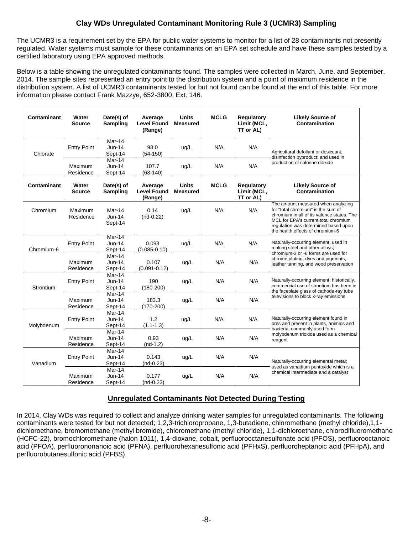#### **Clay WDs Unregulated Contaminant Monitoring Rule 3 (UCMR3) Sampling**

The UCMR3 is a requirement set by the EPA for public water systems to monitor for a list of 28 contaminants not presently regulated. Water systems must sample for these contaminants on an EPA set schedule and have these samples tested by a certified laboratory using EPA approved methods.

Below is a table showing the unregulated contaminants found. The samples were collected in March, June, and September, 2014. The sample sites represented an entry point to the distribution system and a point of maximum residence in the distribution system. A list of UCMR3 contaminants tested for but not found can be found at the end of this table. For more information please contact Frank Mazzye, 652-3800, Ext. 146.

| <b>Contaminant</b> | Water<br><b>Source</b> | Date(s) of<br>Sampling          | Average<br><b>Level Found</b><br>(Range) | <b>Units</b><br><b>Measured</b> | <b>MCLG</b> | Regulatory<br>Limit (MCL,<br>TT or AL) | <b>Likely Source of</b><br>Contamination                                                                                                                                                                                                   |  |
|--------------------|------------------------|---------------------------------|------------------------------------------|---------------------------------|-------------|----------------------------------------|--------------------------------------------------------------------------------------------------------------------------------------------------------------------------------------------------------------------------------------------|--|
| Chlorate           | <b>Entry Point</b>     | Mar-14<br>Jun-14<br>Sept-14     | 98.0<br>$(54-150)$                       | ug/L                            | N/A         | N/A                                    | Agricultural defoliant or desiccant;<br>disinfection byproduct; and used in                                                                                                                                                                |  |
|                    | Maximum<br>Residence   | Mar-14<br>$Jun-14$<br>Sept-14   | 107.7<br>$(63-140)$                      | uq/L                            | N/A         | N/A                                    | production of chlorine dioxide                                                                                                                                                                                                             |  |
| <b>Contaminant</b> | Water<br><b>Source</b> | Date(s) of<br><b>Sampling</b>   | Average<br><b>Level Found</b><br>(Range) | <b>Units</b><br><b>Measured</b> | <b>MCLG</b> | Regulatory<br>Limit (MCL,<br>TT or AL) | <b>Likely Source of</b><br>Contamination                                                                                                                                                                                                   |  |
| Chromium           | Maximum<br>Residence   | Mar-14<br>$Jun-14$<br>Sept-14   | 0.14<br>$(nd-0.22)$                      | ug/L                            | N/A         | N/A                                    | The amount measured when analyzing<br>for "total chromium" is the sum of<br>chromium in all of its valence states. The<br>MCL for EPA's current total chromium<br>regulation was determined based upon<br>the health effects of chromium-6 |  |
| Chromium-6         | <b>Entry Point</b>     | $Mar-14$<br>Jun-14<br>Sept-14   | 0.093<br>$(0.085 - 0.10)$                | ug/L                            | N/A         | N/A                                    | Naturally-occurring element; used in<br>making steel and other alloys;<br>chromium-3 or -6 forms are used for<br>chrome plating, dyes and pigments,<br>leather tanning, and wood preservation                                              |  |
|                    | Maximum<br>Residence   | $Mar-14$<br>$Jun-14$<br>Sept-14 | 0.107<br>$(0.091 - 0.12)$                | uq/L                            | N/A         | N/A                                    |                                                                                                                                                                                                                                            |  |
| Strontium          | <b>Entry Point</b>     | $Mar-14$<br>Jun-14<br>Sept-14   | 190<br>$(180-200)$                       | ug/L                            | N/A         | N/A                                    | Naturally-occurring element; historically,<br>commercial use of strontium has been in                                                                                                                                                      |  |
|                    | Maximum<br>Residence   | Mar-14<br>$Jun-14$<br>Sept-14   | 183.3<br>$(170-200)$                     | uq/L                            | N/A         | N/A                                    | the faceplate glass of cathode-ray tube<br>televisions to block x-ray emissions                                                                                                                                                            |  |
| Molybdenum         | <b>Entry Point</b>     | Mar-14<br>$Jun-14$<br>Sept-14   | 1.2<br>$(1.1 - 1.3)$                     | ug/L                            | N/A         | N/A                                    | Naturally-occurring element found in<br>ores and present in plants, animals and                                                                                                                                                            |  |
|                    | Maximum<br>Residence   | Mar-14<br>Jun-14<br>Sept-14     | 0.93<br>$(nd-1.2)$                       | uq/L                            | N/A         | N/A                                    | bacteria; commonly used form<br>molybdenum trioxide used as a chemical<br>reagent                                                                                                                                                          |  |
| Vanadium           | <b>Entry Point</b>     | Mar-14<br>$Jun-14$<br>Sept-14   | 0.143<br>$(nd-0.23)$                     | ug/L                            | N/A         | N/A                                    | Naturally-occurring elemental metal;                                                                                                                                                                                                       |  |
|                    | Maximum<br>Residence   | Mar-14<br>$Jun-14$<br>Sept-14   | 0.177<br>$(nd-0.23)$                     | ug/L                            | N/A         | N/A                                    | used as vanadium pentoxide which is a<br>chemical intermediate and a catalyst                                                                                                                                                              |  |

#### **Unregulated Contaminants Not Detected During Testing**

In 2014, Clay WDs was required to collect and analyze drinking water samples for unregulated contaminants. The following contaminants were tested for but not detected; 1,2,3-trichloropropane, 1,3-butadiene, chloromethane (methyl chloride),1,1 dichloroethane, bromomethane (methyl bromide), chloromethane (methyl chloride), 1,1-dichloroethane, chlorodifluoromethane (HCFC-22), bromochloromethane (halon 1011), 1,4-dioxane, cobalt, perfluorooctanesulfonate acid (PFOS), perfluorooctanoic acid (PFOA), perfluorononanoic acid (PFNA), perfluorohexanesulfonic acid (PFHxS), perfluoroheptanoic acid (PFHpA), and perfluorobutanesulfonic acid (PFBS).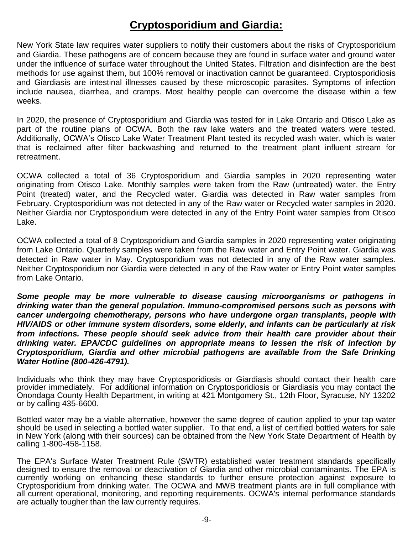# **Cryptosporidium and Giardia:**

New York State law requires water suppliers to notify their customers about the risks of Cryptosporidium and Giardia. These pathogens are of concern because they are found in surface water and ground water under the influence of surface water throughout the United States. Filtration and disinfection are the best methods for use against them, but 100% removal or inactivation cannot be guaranteed. Cryptosporidiosis and Giardiasis are intestinal illnesses caused by these microscopic parasites. Symptoms of infection include nausea, diarrhea, and cramps. Most healthy people can overcome the disease within a few weeks.

In 2020, the presence of Cryptosporidium and Giardia was tested for in Lake Ontario and Otisco Lake as part of the routine plans of OCWA. Both the raw lake waters and the treated waters were tested. Additionally, OCWA's Otisco Lake Water Treatment Plant tested its recycled wash water, which is water that is reclaimed after filter backwashing and returned to the treatment plant influent stream for retreatment.

OCWA collected a total of 36 Cryptosporidium and Giardia samples in 2020 representing water originating from Otisco Lake. Monthly samples were taken from the Raw (untreated) water, the Entry Point (treated) water, and the Recycled water. Giardia was detected in Raw water samples from February. Cryptosporidium was not detected in any of the Raw water or Recycled water samples in 2020. Neither Giardia nor Cryptosporidium were detected in any of the Entry Point water samples from Otisco Lake.

OCWA collected a total of 8 Cryptosporidium and Giardia samples in 2020 representing water originating from Lake Ontario. Quarterly samples were taken from the Raw water and Entry Point water. Giardia was detected in Raw water in May. Cryptosporidium was not detected in any of the Raw water samples. Neither Cryptosporidium nor Giardia were detected in any of the Raw water or Entry Point water samples from Lake Ontario.

*Some people may be more vulnerable to disease causing microorganisms or pathogens in drinking water than the general population. Immuno-compromised persons such as persons with cancer undergoing chemotherapy, persons who have undergone organ transplants, people with HIV/AIDS or other immune system disorders, some elderly, and infants can be particularly at risk from infections. These people should seek advice from their health care provider about their drinking water. EPA/CDC guidelines on appropriate means to lessen the risk of infection by Cryptosporidium, Giardia and other microbial pathogens are available from the Safe Drinking Water Hotline (800-426-4791).* 

Individuals who think they may have Cryptosporidiosis or Giardiasis should contact their health care provider immediately. For additional information on Cryptosporidiosis or Giardiasis you may contact the Onondaga County Health Department, in writing at 421 Montgomery St., 12th Floor, Syracuse, NY 13202 or by calling 435-6600.

Bottled water may be a viable alternative, however the same degree of caution applied to your tap water should be used in selecting a bottled water supplier. To that end, a list of certified bottled waters for sale in New York (along with their sources) can be obtained from the New York State Department of Health by calling 1-800-458-1158.

The EPA's Surface Water Treatment Rule (SWTR) established water treatment standards specifically designed to ensure the removal or deactivation of Giardia and other microbial contaminants. The EPA is currently working on enhancing these standards to further ensure protection against exposure to Cryptosporidium from drinking water. The OCWA and MWB treatment plants are in full compliance with all current operational, monitoring, and reporting requirements. OCWA's internal performance standards are actually tougher than the law currently requires.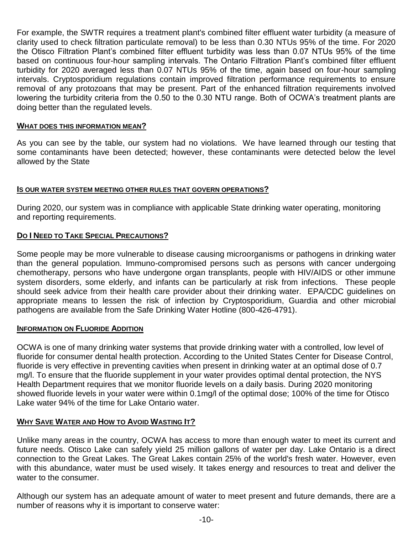For example, the SWTR requires a treatment plant's combined filter effluent water turbidity (a measure of clarity used to check filtration particulate removal) to be less than 0.30 NTUs 95% of the time. For 2020 the Otisco Filtration Plant's combined filter effluent turbidity was less than 0.07 NTUs 95% of the time based on continuous four-hour sampling intervals. The Ontario Filtration Plant's combined filter effluent turbidity for 2020 averaged less than 0.07 NTUs 95% of the time, again based on four-hour sampling intervals. Cryptosporidium regulations contain improved filtration performance requirements to ensure removal of any protozoans that may be present. Part of the enhanced filtration requirements involved lowering the turbidity criteria from the 0.50 to the 0.30 NTU range. Both of OCWA's treatment plants are doing better than the regulated levels.

#### **WHAT DOES THIS INFORMATION MEAN?**

As you can see by the table, our system had no violations. We have learned through our testing that some contaminants have been detected; however, these contaminants were detected below the level allowed by the State

#### **IS OUR WATER SYSTEM MEETING OTHER RULES THAT GOVERN OPERATIONS?**

During 2020, our system was in compliance with applicable State drinking water operating, monitoring and reporting requirements.

### **DO I NEED TO TAKE SPECIAL PRECAUTIONS?**

Some people may be more vulnerable to disease causing microorganisms or pathogens in drinking water than the general population. Immuno-compromised persons such as persons with cancer undergoing chemotherapy, persons who have undergone organ transplants, people with HIV/AIDS or other immune system disorders, some elderly, and infants can be particularly at risk from infections. These people should seek advice from their health care provider about their drinking water. EPA/CDC guidelines on appropriate means to lessen the risk of infection by Cryptosporidium, Guardia and other microbial pathogens are available from the Safe Drinking Water Hotline (800-426-4791).

#### **INFORMATION ON FLUORIDE ADDITION**

OCWA is one of many drinking water systems that provide drinking water with a controlled, low level of fluoride for consumer dental health protection. According to the United States Center for Disease Control, fluoride is very effective in preventing cavities when present in drinking water at an optimal dose of 0.7 mg/l. To ensure that the fluoride supplement in your water provides optimal dental protection, the NYS Health Department requires that we monitor fluoride levels on a daily basis. During 2020 monitoring showed fluoride levels in your water were within 0.1mg/l of the optimal dose; 100% of the time for Otisco Lake water 94% of the time for Lake Ontario water.

#### **WHY SAVE WATER AND HOW TO AVOID WASTING IT?**

Unlike many areas in the country, OCWA has access to more than enough water to meet its current and future needs. Otisco Lake can safely yield 25 million gallons of water per day. Lake Ontario is a direct connection to the Great Lakes. The Great Lakes contain 25% of the world's fresh water. However, even with this abundance, water must be used wisely. It takes energy and resources to treat and deliver the water to the consumer.

Although our system has an adequate amount of water to meet present and future demands, there are a number of reasons why it is important to conserve water: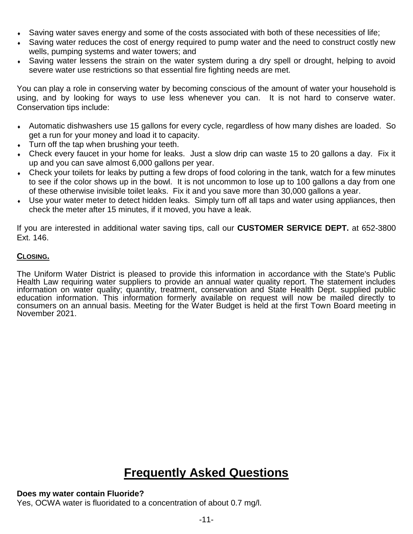- Saving water saves energy and some of the costs associated with both of these necessities of life;
- Saving water reduces the cost of energy required to pump water and the need to construct costly new wells, pumping systems and water towers; and
- Saving water lessens the strain on the water system during a dry spell or drought, helping to avoid severe water use restrictions so that essential fire fighting needs are met.

You can play a role in conserving water by becoming conscious of the amount of water your household is using, and by looking for ways to use less whenever you can. It is not hard to conserve water. Conservation tips include:

- Automatic dishwashers use 15 gallons for every cycle, regardless of how many dishes are loaded. So get a run for your money and load it to capacity.
- Turn off the tap when brushing your teeth.
- Check every faucet in your home for leaks. Just a slow drip can waste 15 to 20 gallons a day. Fix it up and you can save almost 6,000 gallons per year.
- Check your toilets for leaks by putting a few drops of food coloring in the tank, watch for a few minutes to see if the color shows up in the bowl. It is not uncommon to lose up to 100 gallons a day from one of these otherwise invisible toilet leaks. Fix it and you save more than 30,000 gallons a year.
- Use your water meter to detect hidden leaks. Simply turn off all taps and water using appliances, then check the meter after 15 minutes, if it moved, you have a leak.

If you are interested in additional water saving tips, call our **CUSTOMER SERVICE DEPT.** at 652-3800 Ext. 146.

### **CLOSING.**

The Uniform Water District is pleased to provide this information in accordance with the State's Public Health Law requiring water suppliers to provide an annual water quality report. The statement includes information on water quality; quantity, treatment, conservation and State Health Dept. supplied public education information. This information formerly available on request will now be mailed directly to consumers on an annual basis. Meeting for the Water Budget is held at the first Town Board meeting in November 2021.

# **Frequently Asked Questions**

#### **Does my water contain Fluoride?**

Yes, OCWA water is fluoridated to a concentration of about 0.7 mg/l.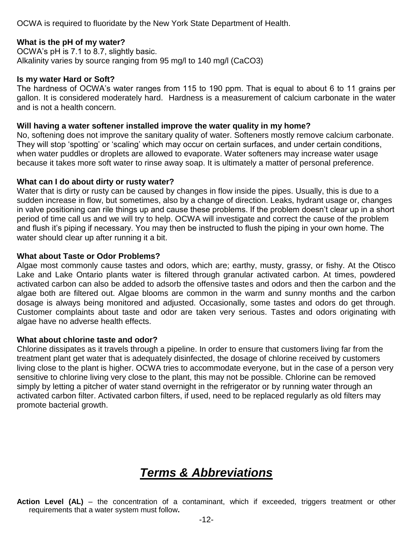OCWA is required to fluoridate by the New York State Department of Health.

#### **What is the pH of my water?**

OCWA's pH is 7.1 to 8.7, slightly basic. Alkalinity varies by source ranging from 95 mg/l to 140 mg/l (CaCO3)

#### **Is my water Hard or Soft?**

The hardness of OCWA's water ranges from 115 to 190 ppm. That is equal to about 6 to 11 grains per gallon. It is considered moderately hard. Hardness is a measurement of calcium carbonate in the water and is not a health concern.

#### **Will having a water softener installed improve the water quality in my home?**

No, softening does not improve the sanitary quality of water. Softeners mostly remove calcium carbonate. They will stop 'spotting' or 'scaling' which may occur on certain surfaces, and under certain conditions, when water puddles or droplets are allowed to evaporate. Water softeners may increase water usage because it takes more soft water to rinse away soap. It is ultimately a matter of personal preference.

#### **What can I do about dirty or rusty water?**

Water that is dirty or rusty can be caused by changes in flow inside the pipes. Usually, this is due to a sudden increase in flow, but sometimes, also by a change of direction. Leaks, hydrant usage or, changes in valve positioning can rile things up and cause these problems. If the problem doesn't clear up in a short period of time call us and we will try to help. OCWA will investigate and correct the cause of the problem and flush it's piping if necessary. You may then be instructed to flush the piping in your own home. The water should clear up after running it a bit.

#### **What about Taste or Odor Problems?**

Algae most commonly cause tastes and odors, which are; earthy, musty, grassy, or fishy. At the Otisco Lake and Lake Ontario plants water is filtered through granular activated carbon. At times, powdered activated carbon can also be added to adsorb the offensive tastes and odors and then the carbon and the algae both are filtered out. Algae blooms are common in the warm and sunny months and the carbon dosage is always being monitored and adjusted. Occasionally, some tastes and odors do get through. Customer complaints about taste and odor are taken very serious. Tastes and odors originating with algae have no adverse health effects.

#### **What about chlorine taste and odor?**

Chlorine dissipates as it travels through a pipeline. In order to ensure that customers living far from the treatment plant get water that is adequately disinfected, the dosage of chlorine received by customers living close to the plant is higher. OCWA tries to accommodate everyone, but in the case of a person very sensitive to chlorine living very close to the plant, this may not be possible. Chlorine can be removed simply by letting a pitcher of water stand overnight in the refrigerator or by running water through an activated carbon filter. Activated carbon filters, if used, need to be replaced regularly as old filters may promote bacterial growth.

# *Terms & Abbreviations*

**Action Level (AL)** – the concentration of a contaminant, which if exceeded, triggers treatment or other requirements that a water system must follow**.**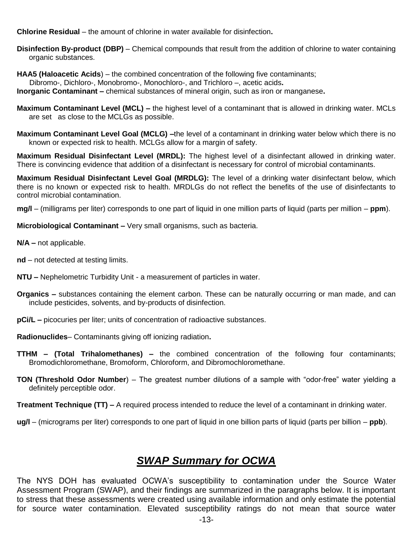**Chlorine Residual** – the amount of chlorine in water available for disinfection**.**

**Disinfection By-product (DBP)** – Chemical compounds that result from the addition of chlorine to water containing organic substances.

**HAA5 (Haloacetic Acids**) – the combined concentration of the following five contaminants; Dibromo-, Dichloro-, Monobromo-, Monochloro-, and Trichloro –, acetic acids**. Inorganic Contaminant –** chemical substances of mineral origin, such as iron or manganese**.** 

**Maximum Contaminant Level (MCL) –** the highest level of a contaminant that is allowed in drinking water. MCLs are set as close to the MCLGs as possible.

**Maximum Contaminant Level Goal (MCLG) –**the level of a contaminant in drinking water below which there is no known or expected risk to health. MCLGs allow for a margin of safety.

**Maximum Residual Disinfectant Level (MRDL):** The highest level of a disinfectant allowed in drinking water. There is convincing evidence that addition of a disinfectant is necessary for control of microbial contaminants.

**Maximum Residual Disinfectant Level Goal (MRDLG):** The level of a drinking water disinfectant below, which there is no known or expected risk to health. MRDLGs do not reflect the benefits of the use of disinfectants to control microbial contamination.

**mg/l** – (milligrams per liter) corresponds to one part of liquid in one million parts of liquid (parts per million – **ppm**).

**Microbiological Contaminant –** Very small organisms, such as bacteria.

**N/A –** not applicable.

**nd** – not detected at testing limits.

- **NTU –** Nephelometric Turbidity Unit a measurement of particles in water.
- **Organics –** substances containing the element carbon. These can be naturally occurring or man made, and can include pesticides, solvents, and by-products of disinfection.
- **pCi/L** picocuries per liter; units of concentration of radioactive substances.

**Radionuclides**– Contaminants giving off ionizing radiation**.**

- **TTHM – (Total Trihalomethanes) –** the combined concentration of the following four contaminants; Bromodichloromethane, Bromoform, Chloroform, and Dibromochloromethane.
- **TON (Threshold Odor Number**) The greatest number dilutions of a sample with "odor-free" water yielding a definitely perceptible odor.
- **Treatment Technique (TT) –** A required process intended to reduce the level of a contaminant in drinking water.

**ug/l** – (micrograms per liter) corresponds to one part of liquid in one billion parts of liquid (parts per billion – **ppb**).

## *SWAP Summary for OCWA*

The NYS DOH has evaluated OCWA's susceptibility to contamination under the Source Water Assessment Program (SWAP), and their findings are summarized in the paragraphs below. It is important to stress that these assessments were created using available information and only estimate the potential for source water contamination. Elevated susceptibility ratings do not mean that source water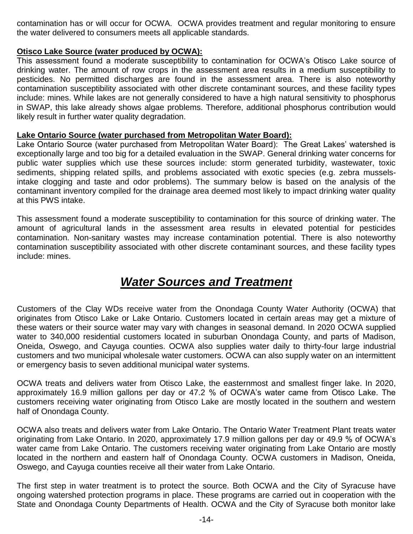contamination has or will occur for OCWA. OCWA provides treatment and regular monitoring to ensure the water delivered to consumers meets all applicable standards.

### **Otisco Lake Source (water produced by OCWA):**

This assessment found a moderate susceptibility to contamination for OCWA's Otisco Lake source of drinking water. The amount of row crops in the assessment area results in a medium susceptibility to pesticides. No permitted discharges are found in the assessment area. There is also noteworthy contamination susceptibility associated with other discrete contaminant sources, and these facility types include: mines. While lakes are not generally considered to have a high natural sensitivity to phosphorus in SWAP, this lake already shows algae problems. Therefore, additional phosphorus contribution would likely result in further water quality degradation.

### **Lake Ontario Source (water purchased from Metropolitan Water Board):**

Lake Ontario Source (water purchased from Metropolitan Water Board): The Great Lakes' watershed is exceptionally large and too big for a detailed evaluation in the SWAP. General drinking water concerns for public water supplies which use these sources include: storm generated turbidity, wastewater, toxic sediments, shipping related spills, and problems associated with exotic species (e.g. zebra musselsintake clogging and taste and odor problems). The summary below is based on the analysis of the contaminant inventory compiled for the drainage area deemed most likely to impact drinking water quality at this PWS intake.

This assessment found a moderate susceptibility to contamination for this source of drinking water. The amount of agricultural lands in the assessment area results in elevated potential for pesticides contamination. Non-sanitary wastes may increase contamination potential. There is also noteworthy contamination susceptibility associated with other discrete contaminant sources, and these facility types include: mines.

# *Water Sources and Treatment*

Customers of the Clay WDs receive water from the Onondaga County Water Authority (OCWA) that originates from Otisco Lake or Lake Ontario. Customers located in certain areas may get a mixture of these waters or their source water may vary with changes in seasonal demand. In 2020 OCWA supplied water to 340,000 residential customers located in suburban Onondaga County, and parts of Madison, Oneida, Oswego, and Cayuga counties. OCWA also supplies water daily to thirty-four large industrial customers and two municipal wholesale water customers. OCWA can also supply water on an intermittent or emergency basis to seven additional municipal water systems.

OCWA treats and delivers water from Otisco Lake, the easternmost and smallest finger lake. In 2020, approximately 16.9 million gallons per day or 47.2 % of OCWA's water came from Otisco Lake. The customers receiving water originating from Otisco Lake are mostly located in the southern and western half of Onondaga County.

OCWA also treats and delivers water from Lake Ontario. The Ontario Water Treatment Plant treats water originating from Lake Ontario. In 2020, approximately 17.9 million gallons per day or 49.9 % of OCWA's water came from Lake Ontario. The customers receiving water originating from Lake Ontario are mostly located in the northern and eastern half of Onondaga County. OCWA customers in Madison, Oneida, Oswego, and Cayuga counties receive all their water from Lake Ontario.

The first step in water treatment is to protect the source. Both OCWA and the City of Syracuse have ongoing watershed protection programs in place. These programs are carried out in cooperation with the State and Onondaga County Departments of Health. OCWA and the City of Syracuse both monitor lake